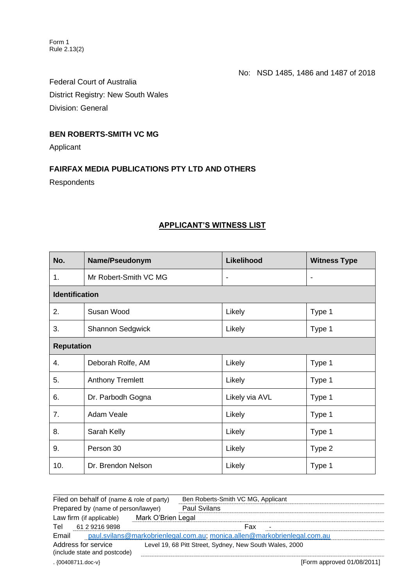Form 1 Rule 2.13(2)

No: NSD 1485, 1486 and 1487 of 2018

Federal Court of Australia District Registry: New South Wales Division: General

## **BEN ROBERTS-SMITH VC MG**

Applicant

## **FAIRFAX MEDIA PUBLICATIONS PTY LTD AND OTHERS**

**Respondents** 

## **APPLICANT'S WITNESS LIST**

| No.                   | Name/Pseudonym          | Likelihood     | <b>Witness Type</b> |  |  |  |
|-----------------------|-------------------------|----------------|---------------------|--|--|--|
| 1.                    | Mr Robert-Smith VC MG   | $\blacksquare$ | -                   |  |  |  |
| <b>Identification</b> |                         |                |                     |  |  |  |
| 2.                    | Susan Wood              | Likely         | Type 1              |  |  |  |
| 3.                    | Shannon Sedgwick        | Likely         | Type 1              |  |  |  |
| <b>Reputation</b>     |                         |                |                     |  |  |  |
| 4.                    | Deborah Rolfe, AM       | Likely         | Type 1              |  |  |  |
| 5.                    | <b>Anthony Tremlett</b> | Likely         | Type 1              |  |  |  |
| 6.                    | Dr. Parbodh Gogna       | Likely via AVL | Type 1              |  |  |  |
| 7.                    | Adam Veale              | Likely         | Type 1              |  |  |  |
| 8.                    | Sarah Kelly             | Likely         | Type 1              |  |  |  |
| 9.                    | Person 30               | Likely         | Type 2              |  |  |  |
| 10.                   | Dr. Brendon Nelson      | Likely         | Type 1              |  |  |  |

| Filed on behalf of (name & role of party)                                         |                    | Ben Roberts-Smith VC MG, Applicant                      |  |  |  |
|-----------------------------------------------------------------------------------|--------------------|---------------------------------------------------------|--|--|--|
| Prepared by (name of person/lawyer)                                               |                    | <b>Paul Svilans</b>                                     |  |  |  |
| Law firm (if applicable)                                                          | Mark O'Brien Legal |                                                         |  |  |  |
| Tel<br>61 2 9216 9898                                                             |                    | Fax<br>$\overline{\phantom{a}}$                         |  |  |  |
| paul.svilans@markobrienlegal.com.au; monica.allen@markobrienlegal.com.au<br>Email |                    |                                                         |  |  |  |
| Address for service                                                               |                    | Level 19, 68 Pitt Street, Sydney, New South Wales, 2000 |  |  |  |
| (include state and postcode)                                                      |                    |                                                         |  |  |  |
| $. \{00408711 \ldots$                                                             |                    | [Form approved 01/08/2011]                              |  |  |  |